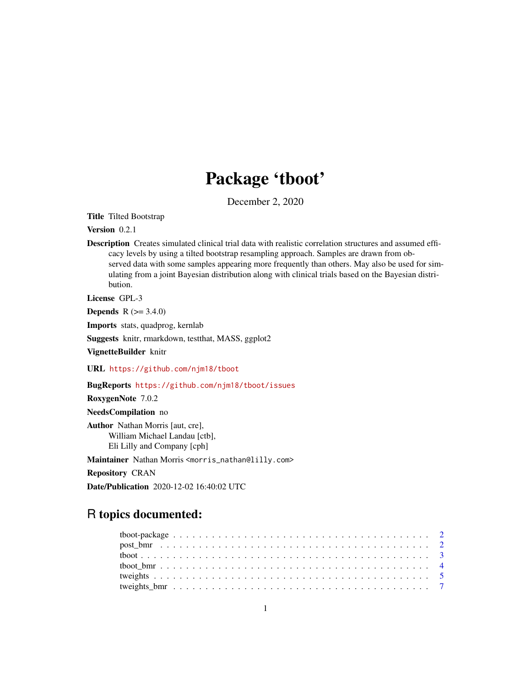## Package 'tboot'

December 2, 2020

Title Tilted Bootstrap

Version 0.2.1

Description Creates simulated clinical trial data with realistic correlation structures and assumed efficacy levels by using a tilted bootstrap resampling approach. Samples are drawn from observed data with some samples appearing more frequently than others. May also be used for simulating from a joint Bayesian distribution along with clinical trials based on the Bayesian distribution.

License GPL-3

**Depends** R  $(>= 3.4.0)$ 

Imports stats, quadprog, kernlab

Suggests knitr, rmarkdown, testthat, MASS, ggplot2

VignetteBuilder knitr

URL <https://github.com/njm18/tboot>

BugReports <https://github.com/njm18/tboot/issues>

RoxygenNote 7.0.2

NeedsCompilation no

Author Nathan Morris [aut, cre], William Michael Landau [ctb], Eli Lilly and Company [cph]

Maintainer Nathan Morris <morris\_nathan@lilly.com>

Repository CRAN

Date/Publication 2020-12-02 16:40:02 UTC

### R topics documented: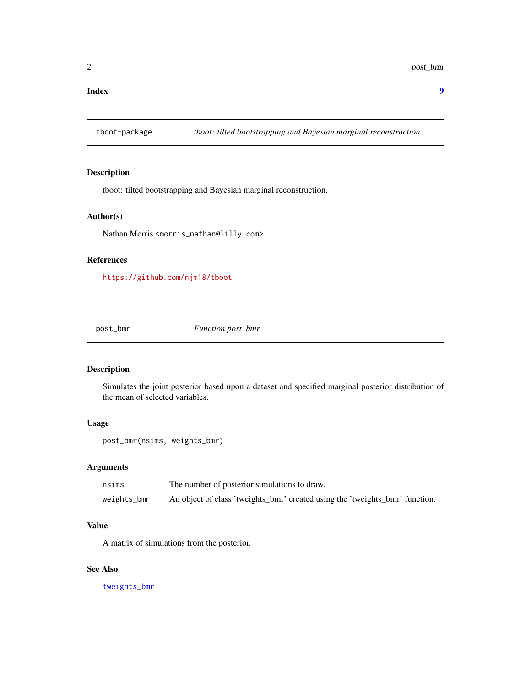#### <span id="page-1-0"></span>**Index** [9](#page-8-0)

#### Description

tboot: tilted bootstrapping and Bayesian marginal reconstruction.

#### Author(s)

Nathan Morris <morris\_nathan@lilly.com>

#### References

<https://github.com/njm18/tboot>

post\_bmr *Function post\_bmr*

#### Description

Simulates the joint posterior based upon a dataset and specified marginal posterior distribution of the mean of selected variables.

#### Usage

```
post_bmr(nsims, weights_bmr)
```
#### Arguments

| nsims       | The number of posterior simulations to draw.                                 |
|-------------|------------------------------------------------------------------------------|
| weights_bmr | An object of class 'tweights_bmr' created using the 'tweights_bmr' function. |

#### Value

A matrix of simulations from the posterior.

#### See Also

[tweights\\_bmr](#page-6-1)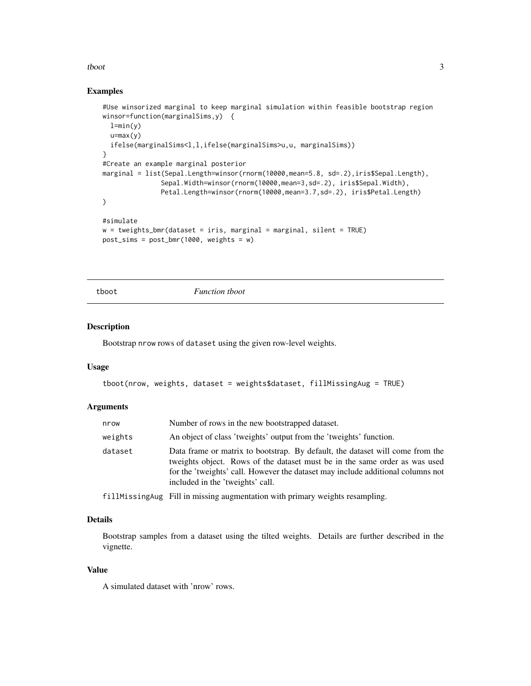#### <span id="page-2-0"></span>tboot 3

#### Examples

```
#Use winsorized marginal to keep marginal simulation within feasible bootstrap region
winsor=function(marginalSims,y) {
  l = min(y)u = max(y)ifelse(marginalSims<l,l,ifelse(marginalSims>u,u, marginalSims))
}
#Create an example marginal posterior
marginal = list(Sepal.Length=winsor(rnorm(10000,mean=5.8, sd=.2),iris$Sepal.Length),
               Sepal.Width=winsor(rnorm(10000,mean=3,sd=.2), iris$Sepal.Width),
               Petal.Length=winsor(rnorm(10000,mean=3.7,sd=.2), iris$Petal.Length)
\lambda#simulate
w = tweights_bmr(dataset = iris, marginal = marginal, silent = TRUE)
post_sims = post_bmr(1000, weights = w)
```
tboot *Function tboot*

#### Description

Bootstrap nrow rows of dataset using the given row-level weights.

#### Usage

```
tboot(nrow, weights, dataset = weights$dataset, fillMissingAug = TRUE)
```
#### Arguments

| nrow    | Number of rows in the new bootstrapped dataset.                                                                                                                                                                                                                                    |
|---------|------------------------------------------------------------------------------------------------------------------------------------------------------------------------------------------------------------------------------------------------------------------------------------|
| weights | An object of class 'tweights' output from the 'tweights' function.                                                                                                                                                                                                                 |
| dataset | Data frame or matrix to bootstrap. By default, the dataset will come from the<br>tweights object. Rows of the dataset must be in the same order as was used<br>for the 'tweights' call. However the dataset may include additional columns not<br>included in the 'tweights' call. |
|         | $\mathcal{C}$ , and the contract of the contract of the contract of the contract of the contract of the contract of the contract of the contract of the contract of the contract of the contract of the contract of the contract o                                                 |

fillMissingAug Fill in missing augmentation with primary weights resampling.

#### Details

Bootstrap samples from a dataset using the tilted weights. Details are further described in the vignette.

#### Value

A simulated dataset with 'nrow' rows.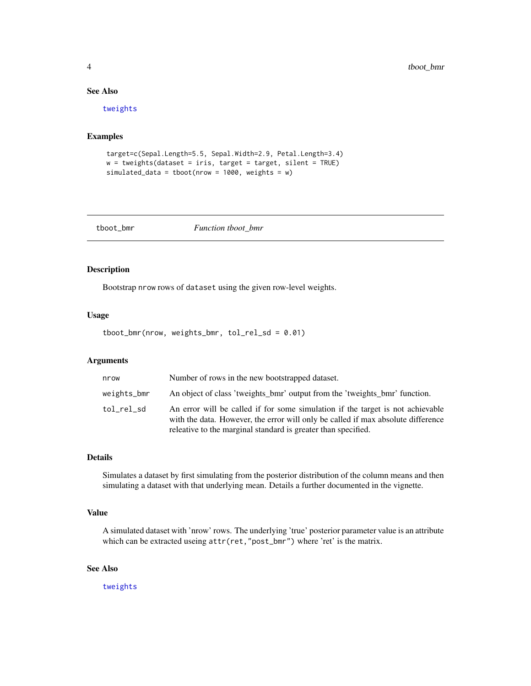#### See Also

[tweights](#page-4-1)

#### Examples

```
target=c(Sepal.Length=5.5, Sepal.Width=2.9, Petal.Length=3.4)
w = tweights(dataset = iris, target = target, silent = TRUE)
simulated_data = tboot(nrow = 1000, weights = w)
```
tboot\_bmr *Function tboot\_bmr*

#### Description

Bootstrap nrow rows of dataset using the given row-level weights.

#### Usage

tboot\_bmr(nrow, weights\_bmr, tol\_rel\_sd = 0.01)

#### Arguments

| nrow        | Number of rows in the new bootstrapped dataset.                                                                                                                                                                                     |
|-------------|-------------------------------------------------------------------------------------------------------------------------------------------------------------------------------------------------------------------------------------|
| weights_bmr | An object of class 'tweights_bmr' output from the 'tweights_bmr' function.                                                                                                                                                          |
| tol rel sd  | An error will be called if for some simulation if the target is not achievable<br>with the data. However, the error will only be called if max absolute difference<br>releative to the marginal standard is greater than specified. |

#### Details

Simulates a dataset by first simulating from the posterior distribution of the column means and then simulating a dataset with that underlying mean. Details a further documented in the vignette.

#### Value

A simulated dataset with 'nrow' rows. The underlying 'true' posterior parameter value is an attribute which can be extracted useing  $attr(ret, "post_bmr")$  where 'ret' is the matrix.

#### See Also

[tweights](#page-4-1)

<span id="page-3-0"></span>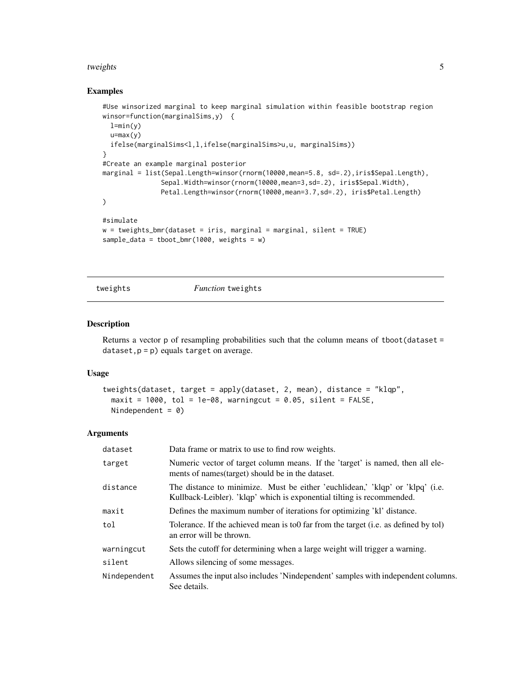#### <span id="page-4-0"></span>tweights 5

#### Examples

```
#Use winsorized marginal to keep marginal simulation within feasible bootstrap region
winsor=function(marginalSims,y) {
  l=min(y)u = max(y)ifelse(marginalSims<l,l,ifelse(marginalSims>u,u, marginalSims))
}
#Create an example marginal posterior
marginal = list(Sepal.Length=winsor(rnorm(10000,mean=5.8, sd=.2),iris$Sepal.Length),
               Sepal.Width=winsor(rnorm(10000,mean=3,sd=.2), iris$Sepal.Width),
               Petal.Length=winsor(rnorm(10000,mean=3.7,sd=.2), iris$Petal.Length)
\lambda#simulate
w = tweights_bmr(dataset = iris, marginal = marginal, silent = TRUE)
sample_data = tboot_bmr(1000, weights = w)
```
tweights *Function* tweights

#### Description

Returns a vector  $p$  of resampling probabilities such that the column means of tboot(dataset = dataset,  $p = p$ ) equals target on average.

#### Usage

```
tweights(dataset, target = apply(dataset, 2, mean), distance = "klqp",
  maxit = 1000, tol = 1e-08, warningcut = 0.05, silent = FALSE,
 Nindependent = 0)
```
#### Arguments

| dataset      | Data frame or matrix to use to find row weights.                                                                                                        |
|--------------|---------------------------------------------------------------------------------------------------------------------------------------------------------|
| target       | Numeric vector of target column means. If the 'target' is named, then all ele-<br>ments of names (target) should be in the dataset.                     |
| distance     | The distance to minimize. Must be either 'euchlidean,' 'klqp' or 'klpq' (i.e.<br>Kullback-Leibler). 'klqp' which is exponential tilting is recommended. |
| maxit        | Defines the maximum number of iterations for optimizing 'kl' distance.                                                                                  |
| tol          | Tolerance. If the achieved mean is too far from the target (i.e. as defined by tol)<br>an error will be thrown.                                         |
| warningcut   | Sets the cutoff for determining when a large weight will trigger a warning.                                                                             |
| silent       | Allows silencing of some messages.                                                                                                                      |
| Nindependent | Assumes the input also includes 'Nindependent' samples with independent columns.<br>See details.                                                        |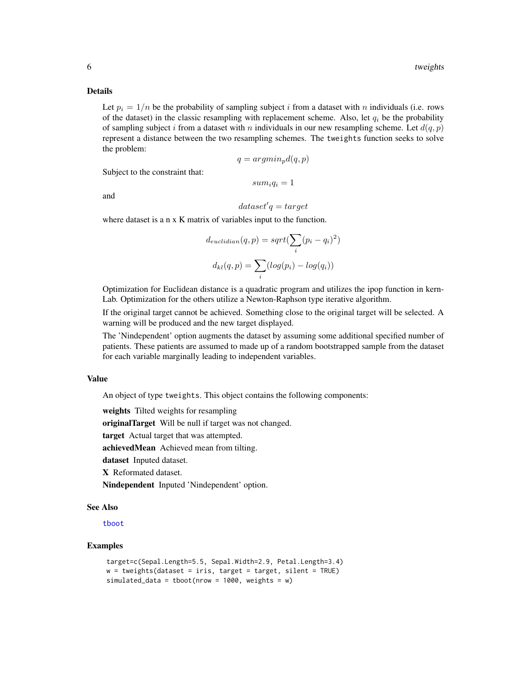#### <span id="page-5-0"></span>Details

Let  $p_i = 1/n$  be the probability of sampling subject i from a dataset with n individuals (i.e. rows of the dataset) in the classic resampling with replacement scheme. Also, let  $q_i$  be the probability of sampling subject i from a dataset with n individuals in our new resampling scheme. Let  $d(q, p)$ represent a distance between the two resampling schemes. The tweights function seeks to solve the problem:

$$
q = argmin_p d(q, p)
$$

Subject to the constraint that:

 $sum_i q_i = 1$ 

and

 $dataset'q = target$ 

where dataset is a n x K matrix of variables input to the function.

$$
d_{euclidean}(q, p) = sqrt(\sum_{i} (p_i - q_i)^2)
$$

$$
d_{kl}(q, p) = \sum_{i} (log(p_i) - log(q_i))
$$

Optimization for Euclidean distance is a quadratic program and utilizes the ipop function in kern-Lab. Optimization for the others utilize a Newton-Raphson type iterative algorithm.

If the original target cannot be achieved. Something close to the original target will be selected. A warning will be produced and the new target displayed.

The 'Nindependent' option augments the dataset by assuming some additional specified number of patients. These patients are assumed to made up of a random bootstrapped sample from the dataset for each variable marginally leading to independent variables.

#### Value

An object of type tweights. This object contains the following components:

weights Tilted weights for resampling

originalTarget Will be null if target was not changed.

target Actual target that was attempted.

achievedMean Achieved mean from tilting.

dataset Inputed dataset.

X Reformated dataset.

Nindependent Inputed 'Nindependent' option.

#### See Also

#### [tboot](#page-2-1)

#### Examples

```
target=c(Sepal.Length=5.5, Sepal.Width=2.9, Petal.Length=3.4)
w = tweights(dataset = iris, target = target, silent = TRUE)
simulated_data = tboot(nrow = 1000, weights = w)
```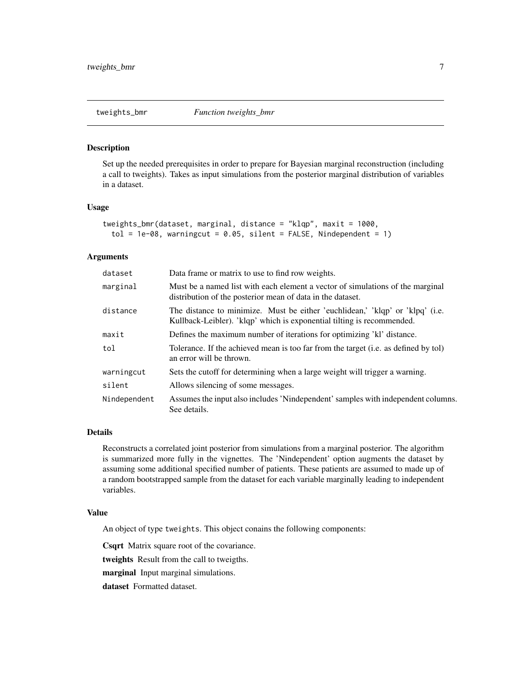<span id="page-6-1"></span><span id="page-6-0"></span>

#### Description

Set up the needed prerequisites in order to prepare for Bayesian marginal reconstruction (including a call to tweights). Takes as input simulations from the posterior marginal distribution of variables in a dataset.

#### Usage

```
tweights_bmr(dataset, marginal, distance = "klqp", maxit = 1000,
  tol = 1e-08, warningcut = 0.05, silent = FALSE, Nindependent = 1)
```
#### Arguments

| dataset      | Data frame or matrix to use to find row weights.                                                                                                        |
|--------------|---------------------------------------------------------------------------------------------------------------------------------------------------------|
| marginal     | Must be a named list with each element a vector of simulations of the marginal<br>distribution of the posterior mean of data in the dataset.            |
| distance     | The distance to minimize. Must be either 'euchlidean,' 'klqp' or 'klpq' (i.e.<br>Kullback-Leibler). 'klqp' which is exponential tilting is recommended. |
| maxit        | Defines the maximum number of iterations for optimizing 'kl' distance.                                                                                  |
| tol          | Tolerance. If the achieved mean is too far from the target (i.e. as defined by tol)<br>an error will be thrown.                                         |
| warningcut   | Sets the cutoff for determining when a large weight will trigger a warning.                                                                             |
| silent       | Allows silencing of some messages.                                                                                                                      |
| Nindependent | Assumes the input also includes 'Nindependent' samples with independent columns.<br>See details.                                                        |

#### Details

Reconstructs a correlated joint posterior from simulations from a marginal posterior. The algorithm is summarized more fully in the vignettes. The 'Nindependent' option augments the dataset by assuming some additional specified number of patients. These patients are assumed to made up of a random bootstrapped sample from the dataset for each variable marginally leading to independent variables.

#### Value

An object of type tweights. This object conains the following components:

Csqrt Matrix square root of the covariance.

tweights Result from the call to tweigths.

marginal Input marginal simulations.

dataset Formatted dataset.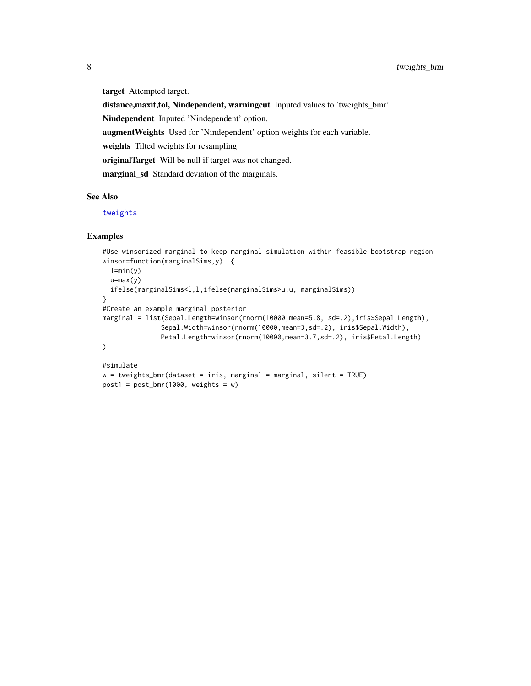<span id="page-7-0"></span>target Attempted target.

distance,maxit,tol, Nindependent, warningcut Inputed values to 'tweights\_bmr'.

Nindependent Inputed 'Nindependent' option.

augmentWeights Used for 'Nindependent' option weights for each variable.

weights Tilted weights for resampling

 $post1 = post_bmr(1000, weights = w)$ 

originalTarget Will be null if target was not changed.

marginal\_sd Standard deviation of the marginals.

#### See Also

[tweights](#page-4-1)

#### Examples

```
#Use winsorized marginal to keep marginal simulation within feasible bootstrap region
winsor=function(marginalSims,y) {
  l=min(y)u=max(y)
  ifelse(marginalSims<l,l,ifelse(marginalSims>u,u, marginalSims))
}
#Create an example marginal posterior
marginal = list(Sepal.Length=winsor(rnorm(10000,mean=5.8, sd=.2),iris$Sepal.Length),
               Sepal.Width=winsor(rnorm(10000,mean=3,sd=.2), iris$Sepal.Width),
               Petal.Length=winsor(rnorm(10000,mean=3.7,sd=.2), iris$Petal.Length)
)
#simulate
```
 $w =$  tweights\_bmr(dataset = iris, marginal = marginal, silent = TRUE)